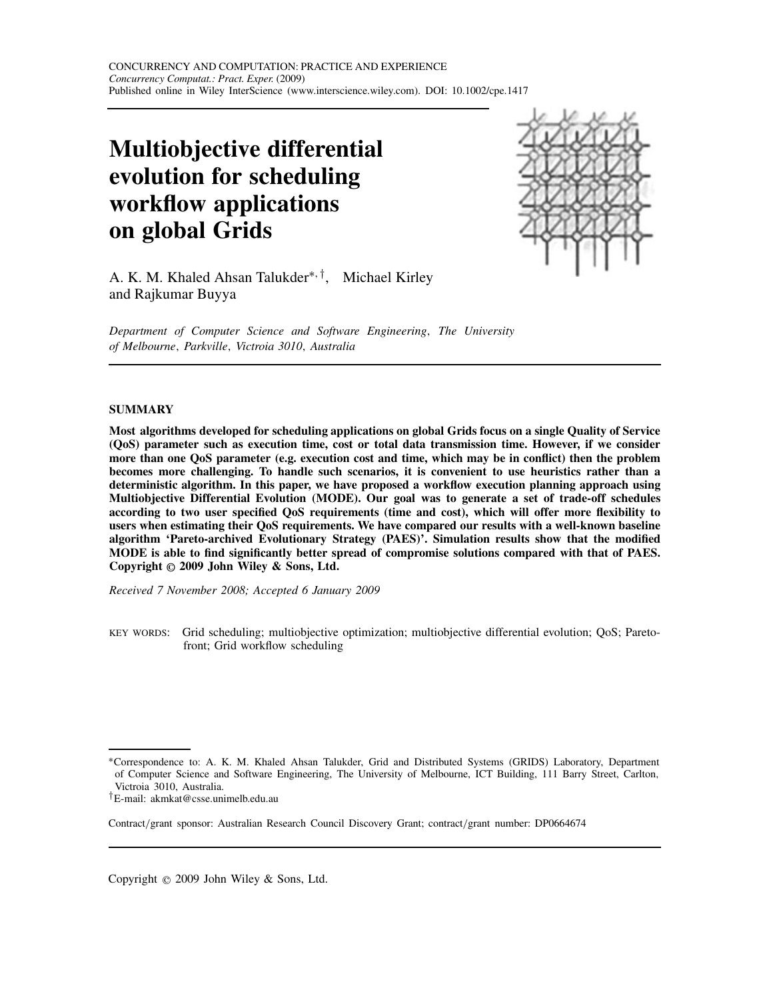# **Multiobjective differential evolution for scheduling workflow applications on global Grids**



A. K. M. Khaled Ahsan Talukder∗*, †*, Michael Kirley and Rajkumar Buyya

*Department of Computer Science and Software Engineering, The University of Melbourne, Parkville, Victroia 3010, Australia*

#### **SUMMARY**

**Most algorithms developed for scheduling applications on global Grids focus on a single Quality of Service (QoS) parameter such as execution time, cost or total data transmission time. However, if we consider more than one QoS parameter (e.g. execution cost and time, which may be in conflict) then the problem becomes more challenging. To handle such scenarios, it is convenient to use heuristics rather than a deterministic algorithm. In this paper, we have proposed a workflow execution planning approach using Multiobjective Differential Evolution (MODE). Our goal was to generate a set of trade-off schedules according to two user specified QoS requirements (time and cost), which will offer more flexibility to users when estimating their QoS requirements. We have compared our results with a well-known baseline algorithm 'Pareto-archived Evolutionary Strategy (PAES)'. Simulation results show that the modified MODE is able to find significantly better spread of compromise solutions compared with that of PAES. Copyright © 2009 John Wiley & Sons, Ltd.**

*Received 7 November 2008; Accepted 6 January 2009*

KEY WORDS: Grid scheduling; multiobjective optimization; multiobjective differential evolution; QoS; Paretofront; Grid workflow scheduling

Copyright  $\odot$  2009 John Wiley & Sons, Ltd.

<sup>∗</sup>Correspondence to: A. K. M. Khaled Ahsan Talukder, Grid and Distributed Systems (GRIDS) Laboratory, Department of Computer Science and Software Engineering, The University of Melbourne, ICT Building, 111 Barry Street, Carlton*,* Victroia 3010, Australia.

*<sup>†</sup>*E-mail: akmkat@csse.unimelb.edu.au

Contract*/*grant sponsor: Australian Research Council Discovery Grant; contract*/*grant number: DP0664674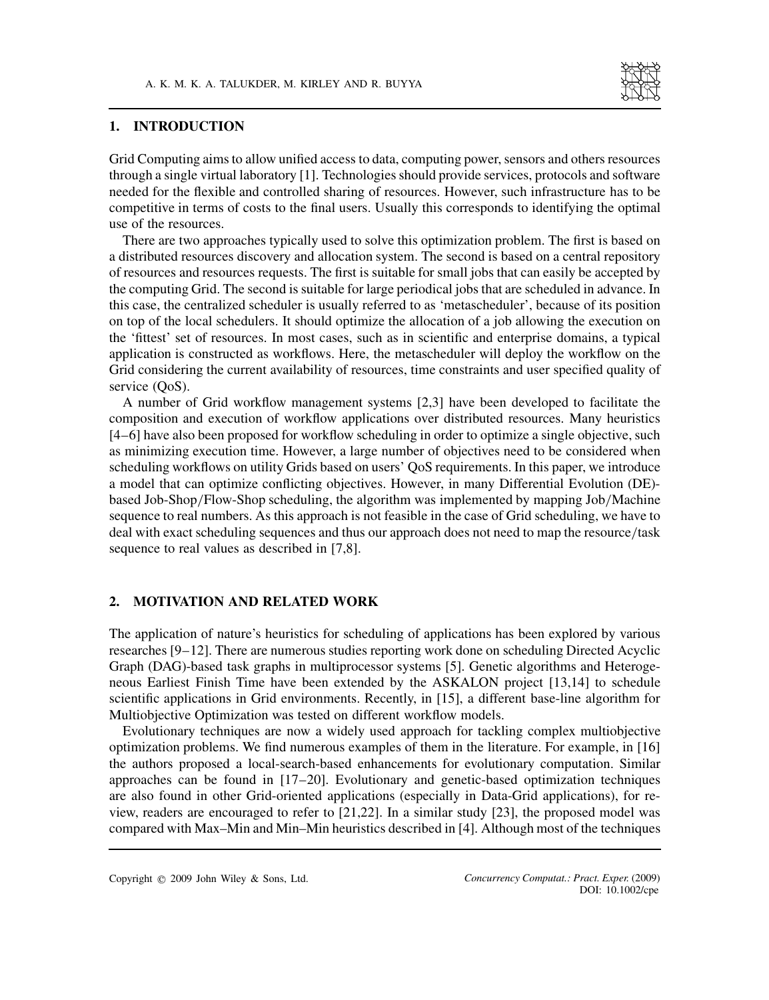

# **1. INTRODUCTION**

Grid Computing aims to allow unified access to data, computing power, sensors and others resources through a single virtual laboratory [1]. Technologies should provide services, protocols and software needed for the flexible and controlled sharing of resources. However, such infrastructure has to be competitive in terms of costs to the final users. Usually this corresponds to identifying the optimal use of the resources.

There are two approaches typically used to solve this optimization problem. The first is based on a distributed resources discovery and allocation system. The second is based on a central repository of resources and resources requests. The first is suitable for small jobs that can easily be accepted by the computing Grid. The second is suitable for large periodical jobs that are scheduled in advance. In this case, the centralized scheduler is usually referred to as 'metascheduler', because of its position on top of the local schedulers. It should optimize the allocation of a job allowing the execution on the 'fittest' set of resources. In most cases, such as in scientific and enterprise domains, a typical application is constructed as workflows. Here, the metascheduler will deploy the workflow on the Grid considering the current availability of resources, time constraints and user specified quality of service (QoS).

A number of Grid workflow management systems [2,3] have been developed to facilitate the composition and execution of workflow applications over distributed resources. Many heuristics [4–6] have also been proposed for workflow scheduling in order to optimize a single objective, such as minimizing execution time. However, a large number of objectives need to be considered when scheduling workflows on utility Grids based on users' QoS requirements. In this paper, we introduce a model that can optimize conflicting objectives. However, in many Differential Evolution (DE) based Job-Shop*/*Flow-Shop scheduling, the algorithm was implemented by mapping Job*/*Machine sequence to real numbers. As this approach is not feasible in the case of Grid scheduling, we have to deal with exact scheduling sequences and thus our approach does not need to map the resource*/*task sequence to real values as described in [7,8].

## **2. MOTIVATION AND RELATED WORK**

The application of nature's heuristics for scheduling of applications has been explored by various researches [9–12]. There are numerous studies reporting work done on scheduling Directed Acyclic Graph (DAG)-based task graphs in multiprocessor systems [5]. Genetic algorithms and Heterogeneous Earliest Finish Time have been extended by the ASKALON project [13,14] to schedule scientific applications in Grid environments. Recently, in [15], a different base-line algorithm for Multiobjective Optimization was tested on different workflow models.

Evolutionary techniques are now a widely used approach for tackling complex multiobjective optimization problems. We find numerous examples of them in the literature. For example, in [16] the authors proposed a local-search-based enhancements for evolutionary computation. Similar approaches can be found in [17–20]. Evolutionary and genetic-based optimization techniques are also found in other Grid-oriented applications (especially in Data-Grid applications), for review, readers are encouraged to refer to [21,22]. In a similar study [23], the proposed model was compared with Max–Min and Min–Min heuristics described in [4]. Although most of the techniques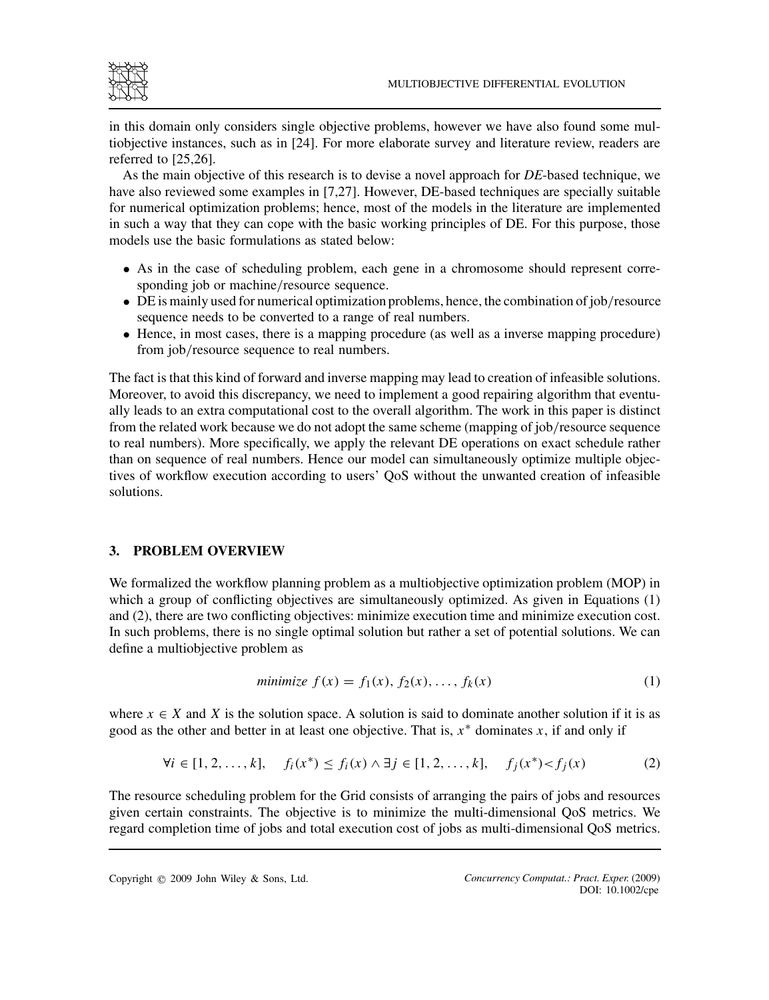

in this domain only considers single objective problems, however we have also found some multiobjective instances, such as in [24]. For more elaborate survey and literature review, readers are referred to [25,26].

As the main objective of this research is to devise a novel approach for *DE*-based technique, we have also reviewed some examples in [7,27]. However, DE-based techniques are specially suitable for numerical optimization problems; hence, most of the models in the literature are implemented in such a way that they can cope with the basic working principles of DE. For this purpose, those models use the basic formulations as stated below:

- As in the case of scheduling problem, each gene in a chromosome should represent corresponding job or machine*/*resource sequence.
- DE is mainly used for numerical optimization problems, hence, the combination of job*/*resource sequence needs to be converted to a range of real numbers.
- Hence, in most cases, there is a mapping procedure (as well as a inverse mapping procedure) from job*/*resource sequence to real numbers.

The fact is that this kind of forward and inverse mapping may lead to creation of infeasible solutions. Moreover, to avoid this discrepancy, we need to implement a good repairing algorithm that eventually leads to an extra computational cost to the overall algorithm. The work in this paper is distinct from the related work because we do not adopt the same scheme (mapping of job*/*resource sequence to real numbers). More specifically, we apply the relevant DE operations on exact schedule rather than on sequence of real numbers. Hence our model can simultaneously optimize multiple objectives of workflow execution according to users' QoS without the unwanted creation of infeasible solutions.

# **3. PROBLEM OVERVIEW**

We formalized the workflow planning problem as a multiobjective optimization problem (MOP) in which a group of conflicting objectives are simultaneously optimized. As given in Equations (1) and (2), there are two conflicting objectives: minimize execution time and minimize execution cost. In such problems, there is no single optimal solution but rather a set of potential solutions. We can define a multiobjective problem as

minimize 
$$
f(x) = f_1(x), f_2(x), \dots, f_k(x)
$$
 (1)

where  $x \in X$  and X is the solution space. A solution is said to dominate another solution if it is as good as the other and better in at least one objective. That is, *x*<sup>∗</sup> dominates *x*, if and only if

$$
\forall i \in [1, 2, \dots, k], \quad f_i(x^*) \le f_i(x) \land \exists j \in [1, 2, \dots, k], \quad f_j(x^*) < f_j(x) \tag{2}
$$

The resource scheduling problem for the Grid consists of arranging the pairs of jobs and resources given certain constraints. The objective is to minimize the multi-dimensional QoS metrics. We regard completion time of jobs and total execution cost of jobs as multi-dimensional QoS metrics.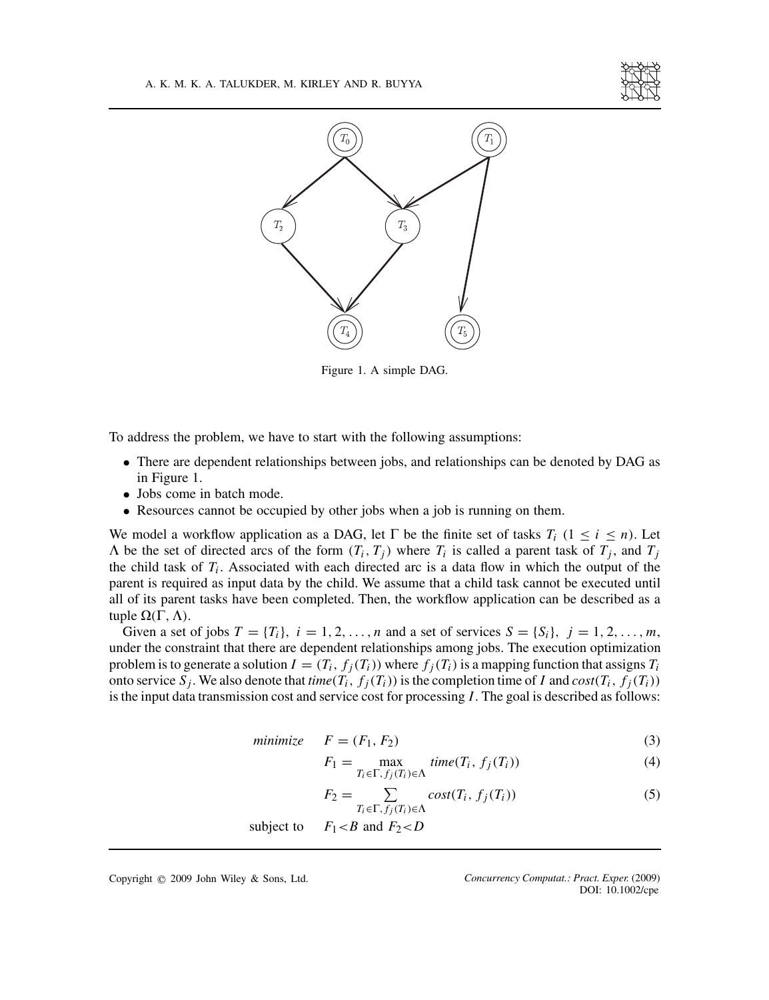



Figure 1. A simple DAG.

To address the problem, we have to start with the following assumptions:

- There are dependent relationships between jobs, and relationships can be denoted by DAG as in Figure 1.
- Jobs come in batch mode.
- Resources cannot be occupied by other jobs when a job is running on them.

We model a workflow application as a DAG, let  $\Gamma$  be the finite set of tasks  $T_i$  ( $1 \le i \le n$ ). Let  $\Lambda$  be the set of directed arcs of the form  $(T_i, T_j)$  where  $T_i$  is called a parent task of  $T_i$ , and  $T_j$ the child task of  $T_i$ . Associated with each directed arc is a data flow in which the output of the parent is required as input data by the child. We assume that a child task cannot be executed until all of its parent tasks have been completed. Then, the workflow application can be described as a tuple  $\Omega(\Gamma, \Lambda)$ .

Given a set of jobs  $T = \{T_i\}$ ,  $i = 1, 2, \ldots, n$  and a set of services  $S = \{S_i\}$ ,  $j = 1, 2, \ldots, m$ , under the constraint that there are dependent relationships among jobs. The execution optimization problem is to generate a solution  $I = (T_i, f_i(T_i))$  where  $f_i(T_i)$  is a mapping function that assigns  $T_i$ onto service  $S_i$ . We also denote that  $time(T_i, f_i(T_i))$  is the completion time of I and  $cost(T_i, f_i(T_i))$ is the input data transmission cost and service cost for processing *I*. The goal is described as follows:

$$
minimize \tF = (F_1, F_2) \t(3)
$$

$$
F_1 = \max_{T_i \in \Gamma, f_j(T_i) \in \Lambda} \text{ time}(T_i, f_j(T_i)) \tag{4}
$$

$$
F_2 = \sum_{T_i \in \Gamma, f_j(T_i) \in \Lambda} cost(T_i, f_j(T_i))
$$
\n<sup>(5)</sup>

subject to  $F_1 < B$  and  $F_2 < D$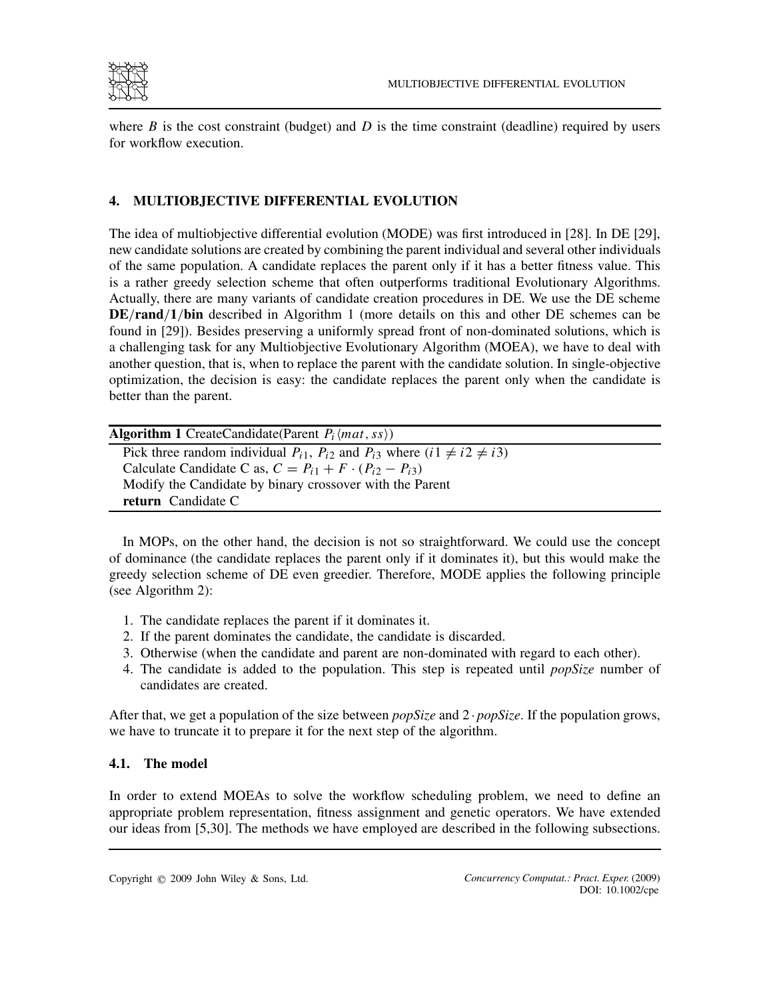

where  $B$  is the cost constraint (budget) and  $D$  is the time constraint (deadline) required by users for workflow execution.

# **4. MULTIOBJECTIVE DIFFERENTIAL EVOLUTION**

The idea of multiobjective differential evolution (MODE) was first introduced in [28]. In DE [29], new candidate solutions are created by combining the parent individual and several other individuals of the same population. A candidate replaces the parent only if it has a better fitness value. This is a rather greedy selection scheme that often outperforms traditional Evolutionary Algorithms. Actually, there are many variants of candidate creation procedures in DE. We use the DE scheme **DE***/***rand***/***1***/***bin** described in Algorithm 1 (more details on this and other DE schemes can be found in [29]). Besides preserving a uniformly spread front of non-dominated solutions, which is a challenging task for any Multiobjective Evolutionary Algorithm (MOEA), we have to deal with another question, that is, when to replace the parent with the candidate solution. In single-objective optimization, the decision is easy: the candidate replaces the parent only when the candidate is better than the parent.

| <b>Algorithm 1</b> CreateCandidate(Parent $P_i$ ( <i>mat</i> , ss))                        |  |
|--------------------------------------------------------------------------------------------|--|
| Pick three random individual $P_{i1}$ , $P_{i2}$ and $P_{i3}$ where $(i1 \neq i2 \neq i3)$ |  |
| Calculate Candidate C as, $C = P_{i1} + F \cdot (P_{i2} - P_{i3})$                         |  |
| Modify the Candidate by binary crossover with the Parent                                   |  |
| return Candidate C                                                                         |  |
|                                                                                            |  |

In MOPs, on the other hand, the decision is not so straightforward. We could use the concept of dominance (the candidate replaces the parent only if it dominates it), but this would make the greedy selection scheme of DE even greedier. Therefore, MODE applies the following principle (see Algorithm 2):

- 1. The candidate replaces the parent if it dominates it.
- 2. If the parent dominates the candidate, the candidate is discarded.
- 3. Otherwise (when the candidate and parent are non-dominated with regard to each other).
- 4. The candidate is added to the population. This step is repeated until *popSize* number of candidates are created.

After that, we get a population of the size between *popSize* and 2 · *popSize*. If the population grows, we have to truncate it to prepare it for the next step of the algorithm.

# **4.1. The model**

In order to extend MOEAs to solve the workflow scheduling problem, we need to define an appropriate problem representation, fitness assignment and genetic operators. We have extended our ideas from [5,30]. The methods we have employed are described in the following subsections.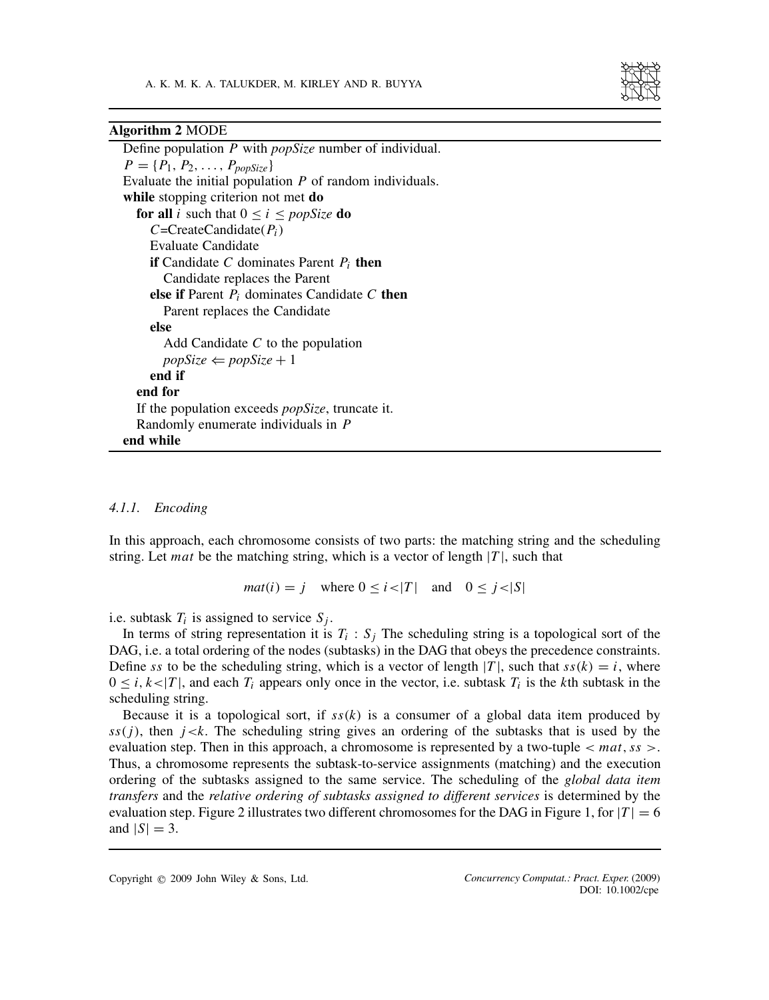

## **Algorithm 2** MODE

Define population *P* with *popSize* number of individual.  $P = \{P_1, P_2, \ldots, P_{popSize}\}$ Evaluate the initial population *P* of random individuals. **while** stopping criterion not met **do for all** *i* such that  $0 \le i \le popSize$  **do** *C*=CreateCandidate(*Pi*) Evaluate Candidate **if** Candidate *C* dominates Parent *Pi* **then** Candidate replaces the Parent **else if** Parent *Pi* dominates Candidate *C* **then** Parent replaces the Candidate **else** Add Candidate *C* to the population  $popSize \Leftarrow popSize + 1$ **end if end for** If the population exceeds *popSize*, truncate it. Randomly enumerate individuals in *P* **end while**

#### *4.1.1. Encoding*

In this approach, each chromosome consists of two parts: the matching string and the scheduling string. Let *mat* be the matching string, which is a vector of length  $|T|$ , such that

 $\text{mat}(i) = j$  where  $0 \leq i < |T|$  and  $0 \leq j < |S|$ 

i.e. subtask  $T_i$  is assigned to service  $S_j$ .

In terms of string representation it is  $T_i$ :  $S_j$  The scheduling string is a topological sort of the DAG, i.e. a total ordering of the nodes (subtasks) in the DAG that obeys the precedence constraints. Define *ss* to be the scheduling string, which is a vector of length  $|T|$ , such that  $ss(k) = i$ , where  $0 \leq i, k \leq |T|$ , and each  $T_i$  appears only once in the vector, i.e. subtask  $T_i$  is the *k*th subtask in the scheduling string.

Because it is a topological sort, if  $ss(k)$  is a consumer of a global data item produced by  $ss(j)$ , then  $j < k$ . The scheduling string gives an ordering of the subtasks that is used by the evaluation step. Then in this approach, a chromosome is represented by a two-tuple *< mat,ss >*. Thus, a chromosome represents the subtask-to-service assignments (matching) and the execution ordering of the subtasks assigned to the same service. The scheduling of the *global data item transfers* and the *relative ordering of subtasks assigned to different services* is determined by the evaluation step. Figure 2 illustrates two different chromosomes for the DAG in Figure 1, for  $|T| = 6$ and  $|S| = 3$ .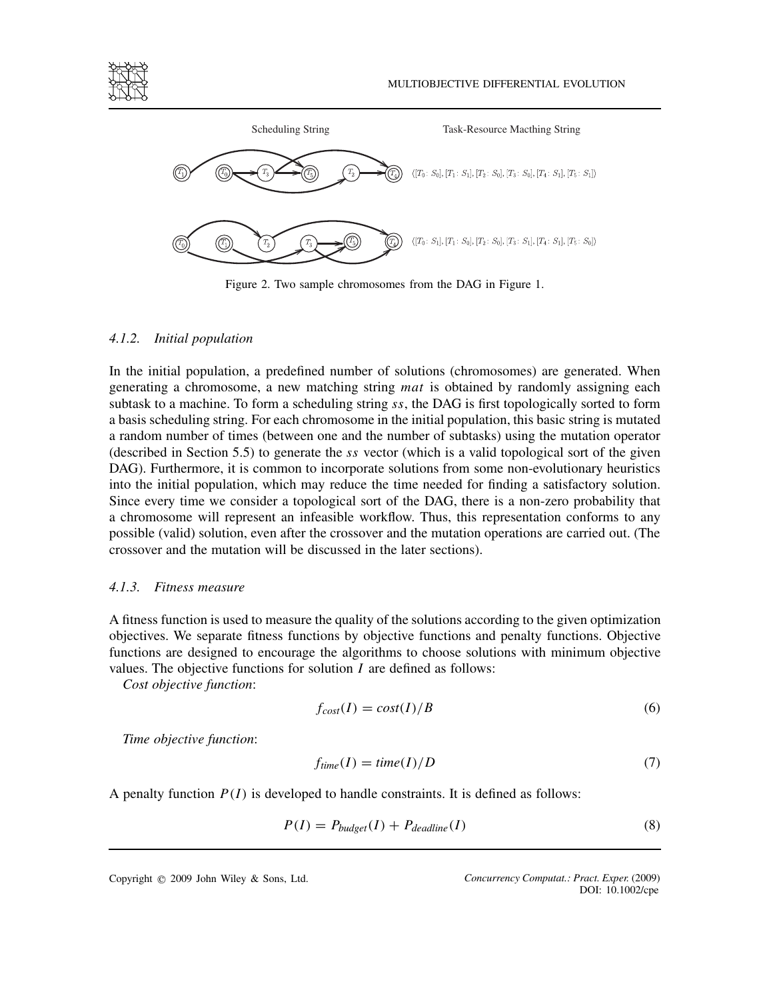

Figure 2. Two sample chromosomes from the DAG in Figure 1.

#### *4.1.2. Initial population*

In the initial population, a predefined number of solutions (chromosomes) are generated. When generating a chromosome, a new matching string *mat* is obtained by randomly assigning each subtask to a machine. To form a scheduling string *ss*, the DAG is first topologically sorted to form a basis scheduling string. For each chromosome in the initial population, this basic string is mutated a random number of times (between one and the number of subtasks) using the mutation operator (described in Section 5.5) to generate the *ss* vector (which is a valid topological sort of the given DAG). Furthermore, it is common to incorporate solutions from some non-evolutionary heuristics into the initial population, which may reduce the time needed for finding a satisfactory solution. Since every time we consider a topological sort of the DAG, there is a non-zero probability that a chromosome will represent an infeasible workflow. Thus, this representation conforms to any possible (valid) solution, even after the crossover and the mutation operations are carried out. (The crossover and the mutation will be discussed in the later sections).

#### *4.1.3. Fitness measure*

A fitness function is used to measure the quality of the solutions according to the given optimization objectives. We separate fitness functions by objective functions and penalty functions. Objective functions are designed to encourage the algorithms to choose solutions with minimum objective values. The objective functions for solution *I* are defined as follows:

*Cost objective function*:

$$
f_{cost}(I) = cost(I)/B
$$
 (6)

*Time objective function*:

$$
f_{time}(I) = time(I)/D
$$
\n(7)

A penalty function  $P(I)$  is developed to handle constraints. It is defined as follows:

$$
P(I) = P_{budget}(I) + P_{deadline}(I)
$$
\n(8)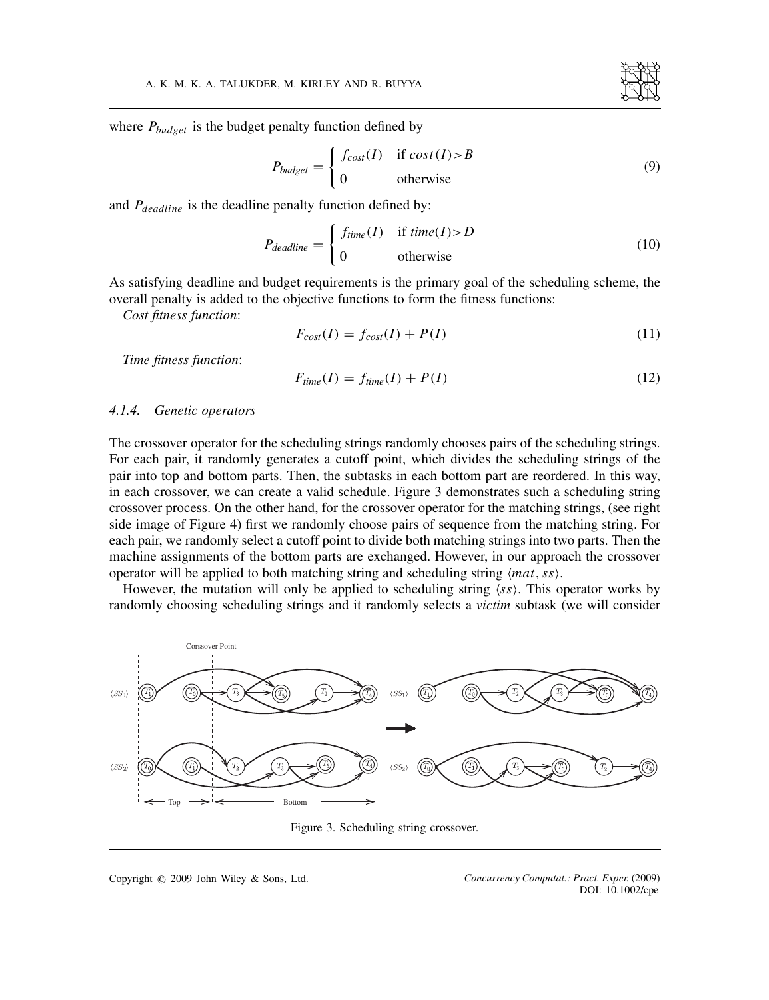

where *Pbudget* is the budget penalty function defined by

$$
P_{budget} = \begin{cases} f_{cost}(I) & \text{if } cost(I) > B \\ 0 & \text{otherwise} \end{cases}
$$
 (9)

and *Pdeadline* is the deadline penalty function defined by:

$$
P_{deadline} = \begin{cases} f_{time}(I) & \text{if } time(I) > D \\ 0 & \text{otherwise} \end{cases}
$$
 (10)

As satisfying deadline and budget requirements is the primary goal of the scheduling scheme, the overall penalty is added to the objective functions to form the fitness functions:

*Cost fitness function*:

$$
F_{cost}(I) = f_{cost}(I) + P(I)
$$
\n(11)

*Time fitness function*:

$$
F_{time}(I) = f_{time}(I) + P(I)
$$
\n(12)

#### *4.1.4. Genetic operators*

The crossover operator for the scheduling strings randomly chooses pairs of the scheduling strings. For each pair, it randomly generates a cutoff point, which divides the scheduling strings of the pair into top and bottom parts. Then, the subtasks in each bottom part are reordered. In this way, in each crossover, we can create a valid schedule. Figure 3 demonstrates such a scheduling string crossover process. On the other hand, for the crossover operator for the matching strings, (see right side image of Figure 4) first we randomly choose pairs of sequence from the matching string. For each pair, we randomly select a cutoff point to divide both matching strings into two parts. Then the machine assignments of the bottom parts are exchanged. However, in our approach the crossover operator will be applied to both matching string and scheduling string  $\langle mat, ss \rangle$ .

However, the mutation will only be applied to scheduling string  $\langle s\bar{s}\rangle$ . This operator works by randomly choosing scheduling strings and it randomly selects a *victim* subtask (we will consider



Figure 3. Scheduling string crossover.

Copyright  $\oslash$  2009 John Wiley & Sons, Ltd. *Concurrency Computat.: Pract. Exper.* (2009) DOI: 10.1002/cpe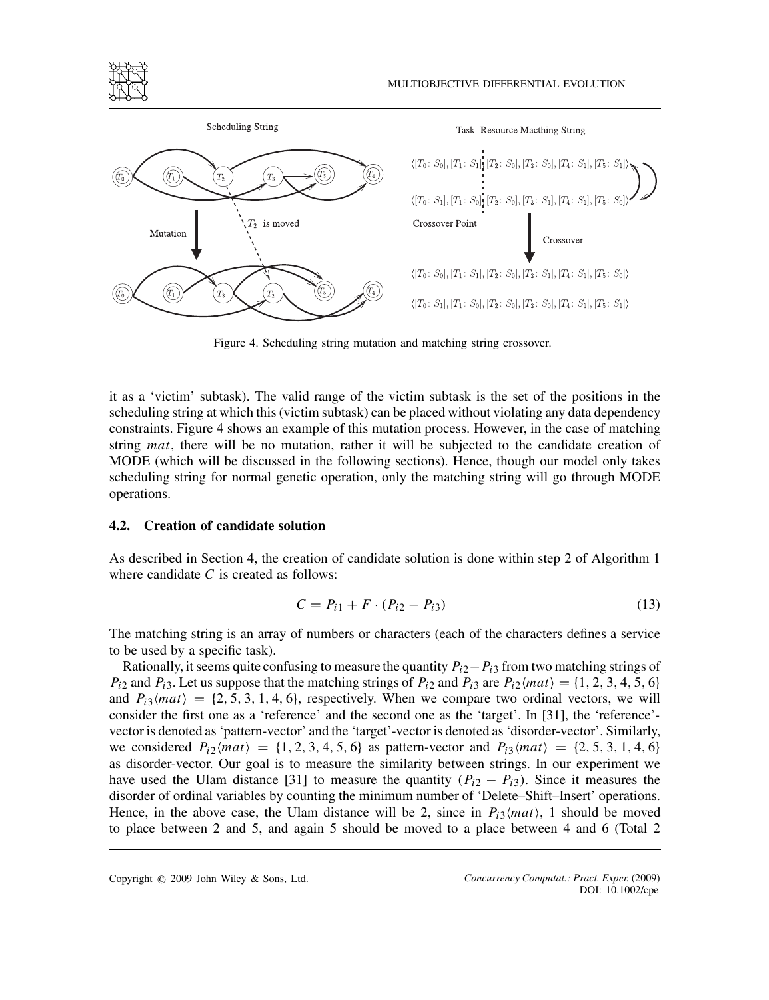

Figure 4. Scheduling string mutation and matching string crossover.

it as a 'victim' subtask). The valid range of the victim subtask is the set of the positions in the scheduling string at which this (victim subtask) can be placed without violating any data dependency constraints. Figure 4 shows an example of this mutation process. However, in the case of matching string *mat*, there will be no mutation, rather it will be subjected to the candidate creation of MODE (which will be discussed in the following sections). Hence, though our model only takes scheduling string for normal genetic operation, only the matching string will go through MODE operations.

#### **4.2. Creation of candidate solution**

As described in Section 4, the creation of candidate solution is done within step 2 of Algorithm 1 where candidate *C* is created as follows:

$$
C = P_{i1} + F \cdot (P_{i2} - P_{i3}) \tag{13}
$$

The matching string is an array of numbers or characters (each of the characters defines a service to be used by a specific task).

Rationally, it seems quite confusing to measure the quantity  $P_{i2}-P_{i3}$  from two matching strings of *P<sub>i</sub>*2 and *P<sub>i</sub>*3. Let us suppose that the matching strings of *P<sub>i</sub>*2 and *P<sub>i</sub>*3 are  $P_i$ <sub>2</sub> $\langle mat \rangle = \{1, 2, 3, 4, 5, 6\}$ and  $P_i \triangleleft \{ ma \} = \{2, 5, 3, 1, 4, 6\}$ , respectively. When we compare two ordinal vectors, we will consider the first one as a 'reference' and the second one as the 'target'. In [31], the 'reference' vector is denoted as 'pattern-vector' and the 'target'-vector is denoted as 'disorder-vector'. Similarly, we considered  $P_{i2}(mat) = \{1, 2, 3, 4, 5, 6\}$  as pattern-vector and  $P_{i3}(mat) = \{2, 5, 3, 1, 4, 6\}$ as disorder-vector. Our goal is to measure the similarity between strings. In our experiment we have used the Ulam distance [31] to measure the quantity  $(P_{i2} - P_{i3})$ . Since it measures the disorder of ordinal variables by counting the minimum number of 'Delete–Shift–Insert' operations. Hence, in the above case, the Ulam distance will be 2, since in  $P_{i3}(mat)$ , 1 should be moved to place between 2 and 5, and again 5 should be moved to a place between 4 and 6 (Total 2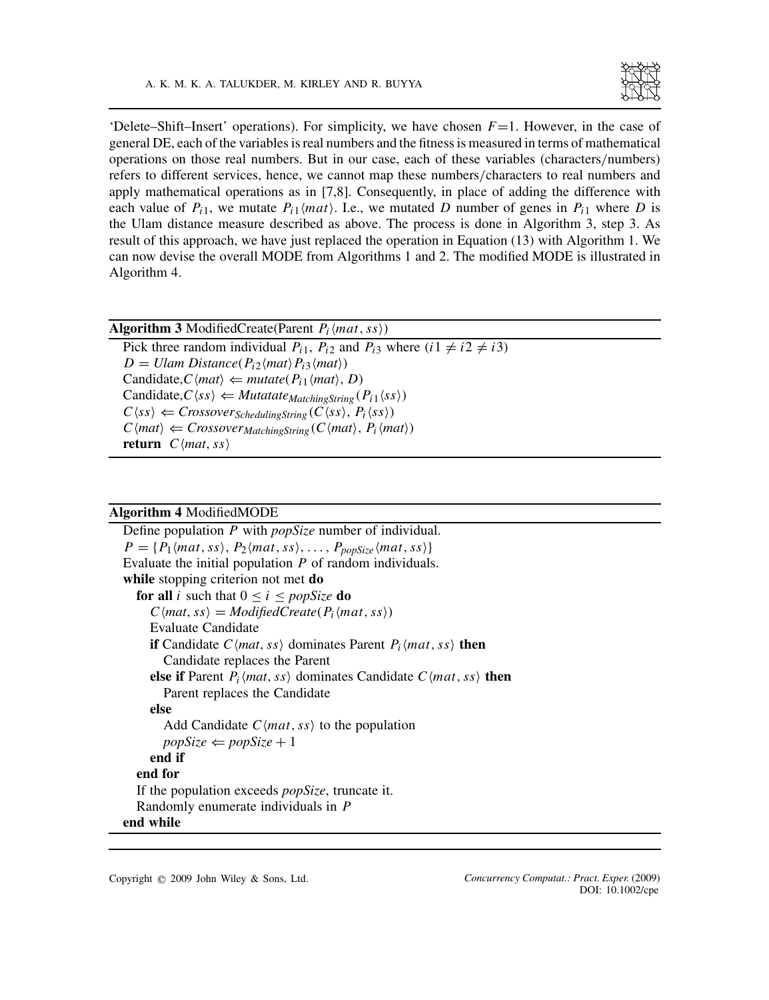

'Delete–Shift–Insert' operations). For simplicity, we have chosen *F*=1. However, in the case of general DE, each of the variables is real numbers and the fitness is measured in terms of mathematical operations on those real numbers. But in our case, each of these variables (characters*/*numbers) refers to different services, hence, we cannot map these numbers*/*characters to real numbers and apply mathematical operations as in [7,8]. Consequently, in place of adding the difference with each value of  $P_{i1}$ , we mutate  $P_{i1}$ *mat* $\rangle$ . I.e., we mutated *D* number of genes in  $P_{i1}$  where *D* is the Ulam distance measure described as above. The process is done in Algorithm 3, step 3. As result of this approach, we have just replaced the operation in Equation (13) with Algorithm 1. We can now devise the overall MODE from Algorithms 1 and 2. The modified MODE is illustrated in Algorithm 4.

| <b>Algorithm 3</b> ModifiedCreate(Parent $P_i$ ( <i>mat</i> , ss))                                         |
|------------------------------------------------------------------------------------------------------------|
| Pick three random individual $P_{i1}$ , $P_{i2}$ and $P_{i3}$ where $(i1 \neq i2 \neq i3)$                 |
| $D = U$ lam Distance( $P_{i2}$ /mat) $P_{i3}$ /mat))                                                       |
| Candidate, $C \langle mat \rangle \Leftarrow mutate(P_{i1} \langle mat \rangle, D)$                        |
| Candidate, $C \langle ss \rangle \leftarrow Mutatate_{MatchingString}(P_{i1} \langle ss \rangle)$          |
| $C\langle ss \rangle \leftarrow Crossover_{SchedulingString}(C\langle ss \rangle, P_i \langle ss \rangle)$ |
| $C \langle mat \rangle \leftarrow Crossover_{Matching}(C \langle mat \rangle, P_i \langle mat \rangle)$    |
| <b>return</b> $C$ <i>{mat, ss}</i>                                                                         |
|                                                                                                            |

#### **Algorithm 4** ModifiedMODE

Define population *P* with *popSize* number of individual.  $P = \{P_1 \langle mat, ss \rangle, P_2 \langle mat, ss \rangle, \ldots, P_{popSize} \langle mat, ss \rangle\}$ Evaluate the initial population *P* of random individuals. **while** stopping criterion not met **do for all** *i* such that  $0 \le i \le popSize$  **do**  $C$ *{mat, ss}* = *ModifiedCreate* $(P_i \{mat, ss\})$ Evaluate Candidate **if** Candidate  $C$ *{mat, ss}* dominates Parent  $P_i$ *{mat, ss}* then Candidate replaces the Parent **else if** Parent  $P_i$ *{mat, ss}* dominates Candidate  $C$ *{mat, ss}* **then** Parent replaces the Candidate **else** Add Candidate  $C \langle mat, ss \rangle$  to the population  $popSize \leftarrow popSize + 1$ **end if end for** If the population exceeds *popSize*, truncate it. Randomly enumerate individuals in *P* **end while**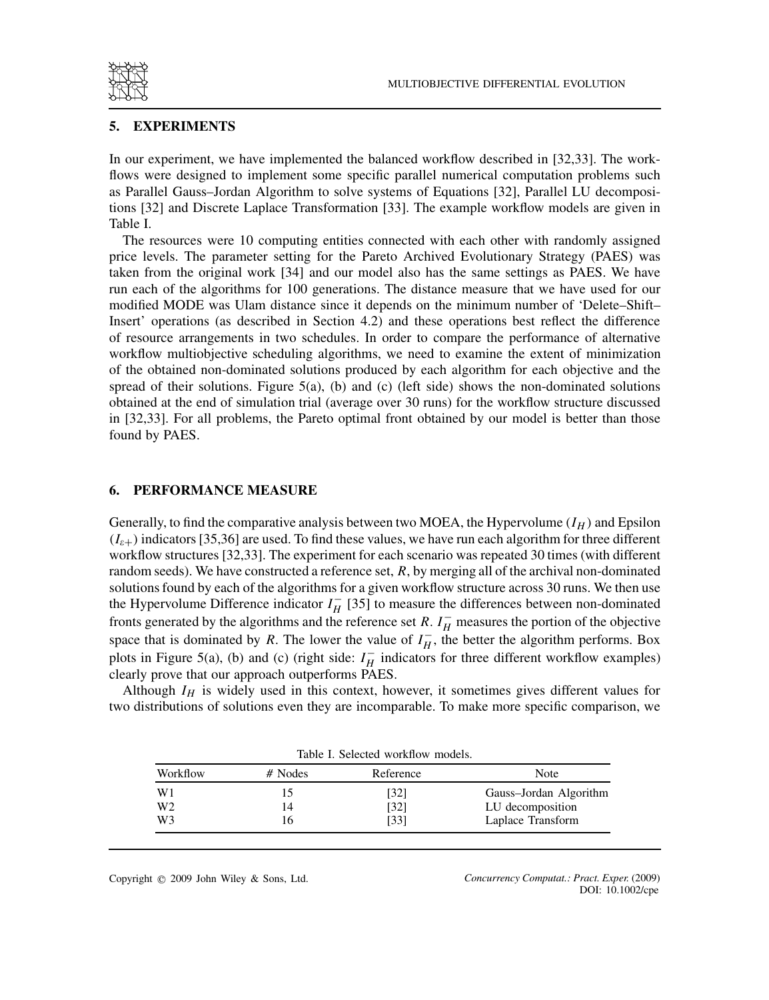

## **5. EXPERIMENTS**

In our experiment, we have implemented the balanced workflow described in [32,33]. The workflows were designed to implement some specific parallel numerical computation problems such as Parallel Gauss–Jordan Algorithm to solve systems of Equations [32], Parallel LU decompositions [32] and Discrete Laplace Transformation [33]. The example workflow models are given in Table I.

The resources were 10 computing entities connected with each other with randomly assigned price levels. The parameter setting for the Pareto Archived Evolutionary Strategy (PAES) was taken from the original work [34] and our model also has the same settings as PAES. We have run each of the algorithms for 100 generations. The distance measure that we have used for our modified MODE was Ulam distance since it depends on the minimum number of 'Delete–Shift– Insert' operations (as described in Section 4.2) and these operations best reflect the difference of resource arrangements in two schedules. In order to compare the performance of alternative workflow multiobjective scheduling algorithms, we need to examine the extent of minimization of the obtained non-dominated solutions produced by each algorithm for each objective and the spread of their solutions. Figure  $5(a)$ , (b) and (c) (left side) shows the non-dominated solutions obtained at the end of simulation trial (average over 30 runs) for the workflow structure discussed in [32,33]. For all problems, the Pareto optimal front obtained by our model is better than those found by PAES.

#### **6. PERFORMANCE MEASURE**

Generally, to find the comparative analysis between two MOEA, the Hypervolume  $(I_H)$  and Epsilon  $(I_{\varepsilon+})$  indicators [35,36] are used. To find these values, we have run each algorithm for three different workflow structures [32,33]. The experiment for each scenario was repeated 30 times (with different random seeds). We have constructed a reference set, *R*, by merging all of the archival non-dominated solutions found by each of the algorithms for a given workflow structure across 30 runs. We then use the Hypervolume Difference indicator  $I_{H}^{-}$  [35] to measure the differences between non-dominated fronts generated by the algorithms and the reference set *R*.  $I_H^-$  measures the portion of the objective space that is dominated by *R*. The lower the value of  $I_H^-$ , the better the algorithm performs. Box plots in Figure 5(a), (b) and (c) (right side:  $I_{H}^-$  indicators for three different workflow examples) clearly prove that our approach outperforms PAES.

Although  $I_H$  is widely used in this context, however, it sometimes gives different values for two distributions of solutions even they are incomparable. To make more specific comparison, we

| Workflow       | $#$ Nodes | Reference | Note                   |
|----------------|-----------|-----------|------------------------|
| W1             | 15        | [32]      | Gauss-Jordan Algorithm |
| W <sub>2</sub> | 14        | [32]      | LU decomposition       |
| W <sub>3</sub> | 16        | [33]      | Laplace Transform      |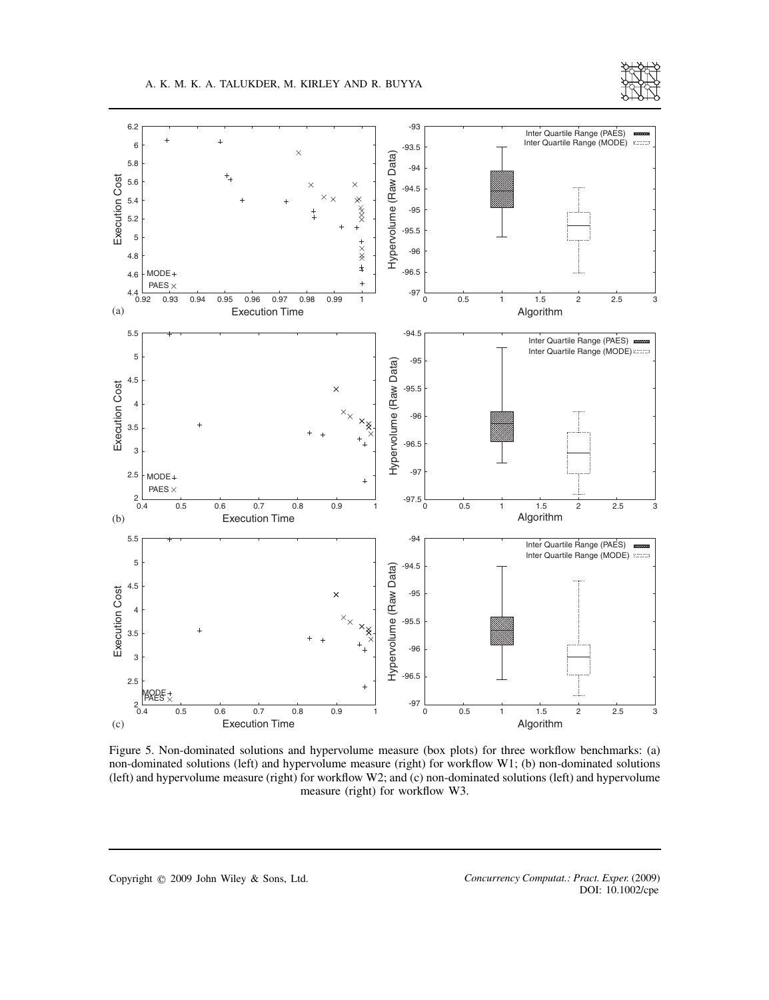



Figure 5. Non-dominated solutions and hypervolume measure (box plots) for three workflow benchmarks: (a) non-dominated solutions (left) and hypervolume measure (right) for workflow W1; (b) non-dominated solutions (left) and hypervolume measure (right) for workflow W2; and (c) non-dominated solutions (left) and hypervolume measure (right) for workflow W3.

Copyright  $\oslash$  2009 John Wiley & Sons, Ltd. *Concurrency Computat.: Pract. Exper.* (2009) DOI: 10.1002/cpe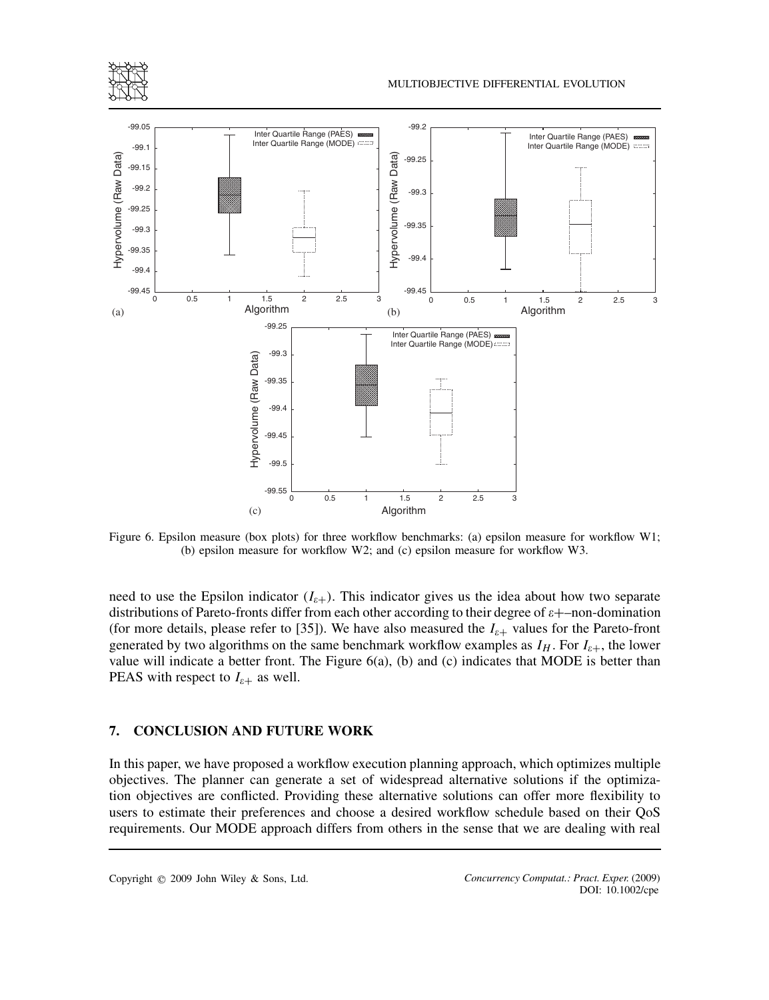



Figure 6. Epsilon measure (box plots) for three workflow benchmarks: (a) epsilon measure for workflow W1; (b) epsilon measure for workflow W2; and (c) epsilon measure for workflow W3.

need to use the Epsilon indicator  $(I_{\varepsilon+})$ . This indicator gives us the idea about how two separate distributions of Pareto-fronts differ from each other according to their degree of  $\varepsilon$ +-non-domination (for more details, please refer to [35]). We have also measured the  $I_{\varepsilon+}$  values for the Pareto-front generated by two algorithms on the same benchmark workflow examples as  $I_H$ . For  $I_{\epsilon+}$ , the lower value will indicate a better front. The Figure  $6(a)$ , (b) and (c) indicates that MODE is better than PEAS with respect to  $I_{\epsilon+}$  as well.

#### **7. CONCLUSION AND FUTURE WORK**

In this paper, we have proposed a workflow execution planning approach, which optimizes multiple objectives. The planner can generate a set of widespread alternative solutions if the optimization objectives are conflicted. Providing these alternative solutions can offer more flexibility to users to estimate their preferences and choose a desired workflow schedule based on their QoS requirements. Our MODE approach differs from others in the sense that we are dealing with real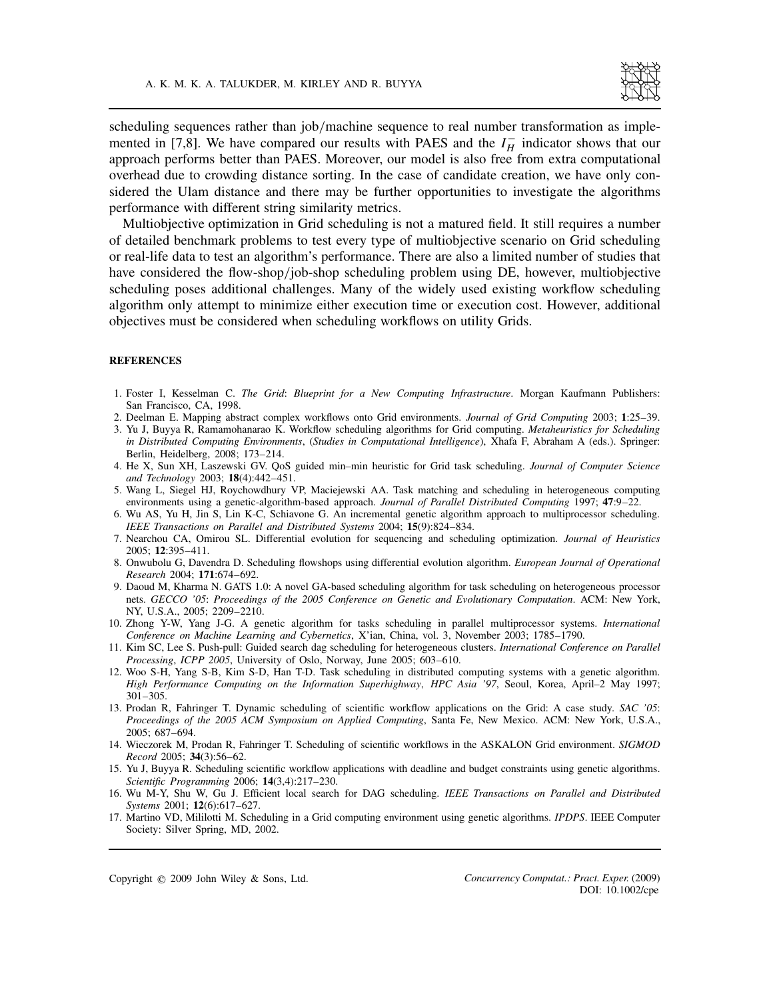

scheduling sequences rather than job*/*machine sequence to real number transformation as implemented in [7,8]. We have compared our results with PAES and the  $I_{H}^-$  indicator shows that our approach performs better than PAES. Moreover, our model is also free from extra computational overhead due to crowding distance sorting. In the case of candidate creation, we have only considered the Ulam distance and there may be further opportunities to investigate the algorithms performance with different string similarity metrics.

Multiobjective optimization in Grid scheduling is not a matured field. It still requires a number of detailed benchmark problems to test every type of multiobjective scenario on Grid scheduling or real-life data to test an algorithm's performance. There are also a limited number of studies that have considered the flow-shop*/*job-shop scheduling problem using DE, however, multiobjective scheduling poses additional challenges. Many of the widely used existing workflow scheduling algorithm only attempt to minimize either execution time or execution cost. However, additional objectives must be considered when scheduling workflows on utility Grids.

#### **REFERENCES**

- 1. Foster I, Kesselman C. *The Grid*: *Blueprint for a New Computing Infrastructure*. Morgan Kaufmann Publishers: San Francisco, CA, 1998.
- 2. Deelman E. Mapping abstract complex workflows onto Grid environments. *Journal of Grid Computing* 2003; **1**:25–39.
- 3. Yu J, Buyya R, Ramamohanarao K. Workflow scheduling algorithms for Grid computing. *Metaheuristics for Scheduling in Distributed Computing Environments*, (*Studies in Computational Intelligence*), Xhafa F, Abraham A (eds.). Springer: Berlin, Heidelberg, 2008; 173–214.
- 4. He X, Sun XH, Laszewski GV. QoS guided min–min heuristic for Grid task scheduling. *Journal of Computer Science and Technology* 2003; **18**(4):442–451.
- 5. Wang L, Siegel HJ, Roychowdhury VP, Maciejewski AA. Task matching and scheduling in heterogeneous computing environments using a genetic-algorithm-based approach. *Journal of Parallel Distributed Computing* 1997; **47**:9–22.
- 6. Wu AS, Yu H, Jin S, Lin K-C, Schiavone G. An incremental genetic algorithm approach to multiprocessor scheduling. *IEEE Transactions on Parallel and Distributed Systems* 2004; **15**(9):824–834.
- 7. Nearchou CA, Omirou SL. Differential evolution for sequencing and scheduling optimization. *Journal of Heuristics* 2005; **12**:395–411.
- 8. Onwubolu G, Davendra D. Scheduling flowshops using differential evolution algorithm. *European Journal of Operational Research* 2004; **171**:674–692.
- 9. Daoud M, Kharma N. GATS 1.0: A novel GA-based scheduling algorithm for task scheduling on heterogeneous processor nets. *GECCO '05*: *Proceedings of the 2005 Conference on Genetic and Evolutionary Computation*. ACM: New York, NY, U.S.A., 2005; 2209–2210.
- 10. Zhong Y-W, Yang J-G. A genetic algorithm for tasks scheduling in parallel multiprocessor systems. *International Conference on Machine Learning and Cybernetics*, X'ian, China, vol. 3, November 2003; 1785–1790.
- 11. Kim SC, Lee S. Push-pull: Guided search dag scheduling for heterogeneous clusters. *International Conference on Parallel Processing*, *ICPP 2005*, University of Oslo, Norway, June 2005; 603–610.
- 12. Woo S-H, Yang S-B, Kim S-D, Han T-D. Task scheduling in distributed computing systems with a genetic algorithm. *High Performance Computing on the Information Superhighway, HPC Asia '97*, Seoul, Korea, April–2 May 1997; 301–305.
- 13. Prodan R, Fahringer T. Dynamic scheduling of scientific workflow applications on the Grid: A case study. *SAC '05*: *Proceedings of the 2005 ACM Symposium on Applied Computing*, Santa Fe, New Mexico. ACM: New York, U.S.A., 2005; 687–694.
- 14. Wieczorek M, Prodan R, Fahringer T. Scheduling of scientific workflows in the ASKALON Grid environment. *SIGMOD Record* 2005; **34**(3):56–62.
- 15. Yu J, Buyya R. Scheduling scientific workflow applications with deadline and budget constraints using genetic algorithms. *Scientific Programming* 2006; **14**(3,4):217–230.
- 16. Wu M-Y, Shu W, Gu J. Efficient local search for DAG scheduling. *IEEE Transactions on Parallel and Distributed Systems* 2001; **12**(6):617–627.
- 17. Martino VD, Mililotti M. Scheduling in a Grid computing environment using genetic algorithms. *IPDPS*. IEEE Computer Society: Silver Spring, MD, 2002.